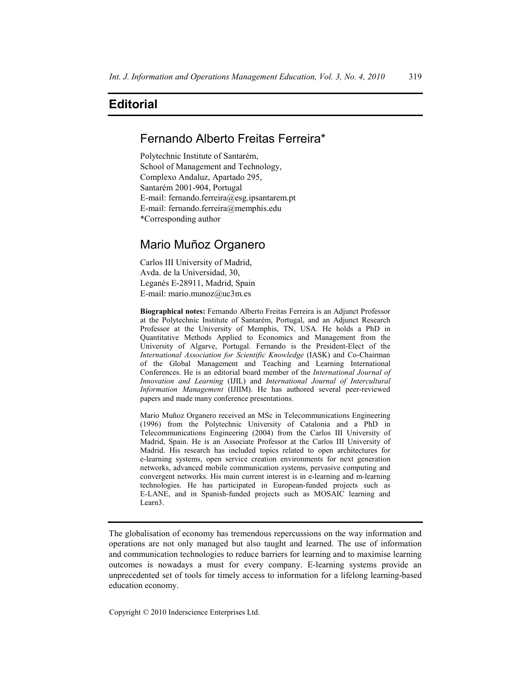# **Editorial**

### Fernando Alberto Freitas Ferreira\*

Polytechnic Institute of Santarém, School of Management and Technology, Complexo Andaluz, Apartado 295, Santarém 2001-904, Portugal E-mail: fernando.ferreira@esg.ipsantarem.pt E-mail: fernando.ferreira@memphis.edu \*Corresponding author

# Mario Muñoz Organero

Carlos III University of Madrid, Avda. de la Universidad, 30, Leganés E-28911, Madrid, Spain E-mail: mario.munoz@uc3m.es

**Biographical notes:** Fernando Alberto Freitas Ferreira is an Adjunct Professor at the Polytechnic Institute of Santarém, Portugal, and an Adjunct Research Professor at the University of Memphis, TN, USA. He holds a PhD in Quantitative Methods Applied to Economics and Management from the University of Algarve, Portugal. Fernando is the President-Elect of the *International Association for Scientific Knowledge* (IASK) and Co-Chairman of the Global Management and Teaching and Learning International Conferences. He is an editorial board member of the *International Journal of Innovation and Learning* (IJIL) and *International Journal of Intercultural Information Management* (IJIIM). He has authored several peer-reviewed papers and made many conference presentations.

Mario Muñoz Organero received an MSc in Telecommunications Engineering (1996) from the Polytechnic University of Catalonia and a PhD in Telecommunications Engineering (2004) from the Carlos III University of Madrid, Spain. He is an Associate Professor at the Carlos III University of Madrid. His research has included topics related to open architectures for e-learning systems, open service creation environments for next generation networks, advanced mobile communication systems, pervasive computing and convergent networks. His main current interest is in e-learning and m-learning technologies. He has participated in European-funded projects such as E-LANE, and in Spanish-funded projects such as MOSAIC learning and Learn3.

The globalisation of economy has tremendous repercussions on the way information and operations are not only managed but also taught and learned. The use of information and communication technologies to reduce barriers for learning and to maximise learning outcomes is nowadays a must for every company. E-learning systems provide an unprecedented set of tools for timely access to information for a lifelong learning-based education economy.

Copyright © 2010 Inderscience Enterprises Ltd.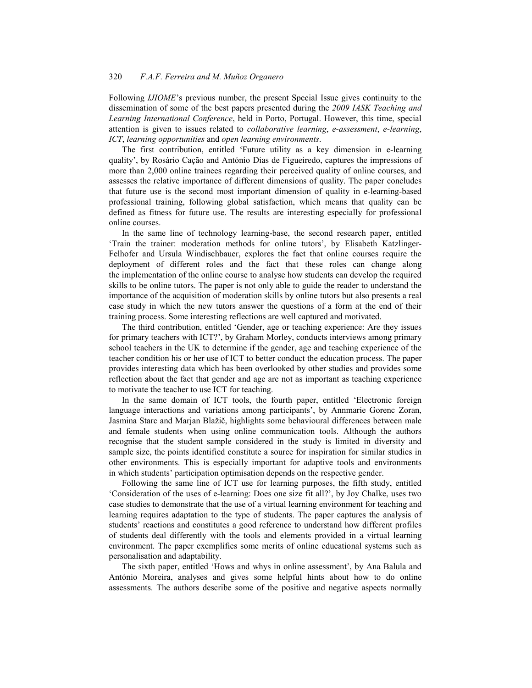### 320 *F.A.F. Ferreira and M. Muñoz Organero*

Following *IJIOME*'s previous number, the present Special Issue gives continuity to the dissemination of some of the best papers presented during the *2009 IASK Teaching and Learning International Conference*, held in Porto, Portugal. However, this time, special attention is given to issues related to *collaborative learning*, *e-assessment*, *e-learning*, *ICT*, *learning opportunities* and *open learning environments*.

The first contribution, entitled 'Future utility as a key dimension in e-learning quality', by Rosário Cação and António Dias de Figueiredo, captures the impressions of more than 2,000 online trainees regarding their perceived quality of online courses, and assesses the relative importance of different dimensions of quality. The paper concludes that future use is the second most important dimension of quality in e-learning-based professional training, following global satisfaction, which means that quality can be defined as fitness for future use. The results are interesting especially for professional online courses.

In the same line of technology learning-base, the second research paper, entitled 'Train the trainer: moderation methods for online tutors', by Elisabeth Katzlinger-Felhofer and Ursula Windischbauer, explores the fact that online courses require the deployment of different roles and the fact that these roles can change along the implementation of the online course to analyse how students can develop the required skills to be online tutors. The paper is not only able to guide the reader to understand the importance of the acquisition of moderation skills by online tutors but also presents a real case study in which the new tutors answer the questions of a form at the end of their training process. Some interesting reflections are well captured and motivated.

The third contribution, entitled 'Gender, age or teaching experience: Are they issues for primary teachers with ICT?', by Graham Morley, conducts interviews among primary school teachers in the UK to determine if the gender, age and teaching experience of the teacher condition his or her use of ICT to better conduct the education process. The paper provides interesting data which has been overlooked by other studies and provides some reflection about the fact that gender and age are not as important as teaching experience to motivate the teacher to use ICT for teaching.

In the same domain of ICT tools, the fourth paper, entitled 'Electronic foreign language interactions and variations among participants', by Annmarie Gorenc Zoran, Jasmina Starc and Marjan Blažič, highlights some behavioural differences between male and female students when using online communication tools. Although the authors recognise that the student sample considered in the study is limited in diversity and sample size, the points identified constitute a source for inspiration for similar studies in other environments. This is especially important for adaptive tools and environments in which students' participation optimisation depends on the respective gender.

Following the same line of ICT use for learning purposes, the fifth study, entitled 'Consideration of the uses of e-learning: Does one size fit all?', by Joy Chalke, uses two case studies to demonstrate that the use of a virtual learning environment for teaching and learning requires adaptation to the type of students. The paper captures the analysis of students' reactions and constitutes a good reference to understand how different profiles of students deal differently with the tools and elements provided in a virtual learning environment. The paper exemplifies some merits of online educational systems such as personalisation and adaptability.

The sixth paper, entitled 'Hows and whys in online assessment', by Ana Balula and António Moreira, analyses and gives some helpful hints about how to do online assessments. The authors describe some of the positive and negative aspects normally